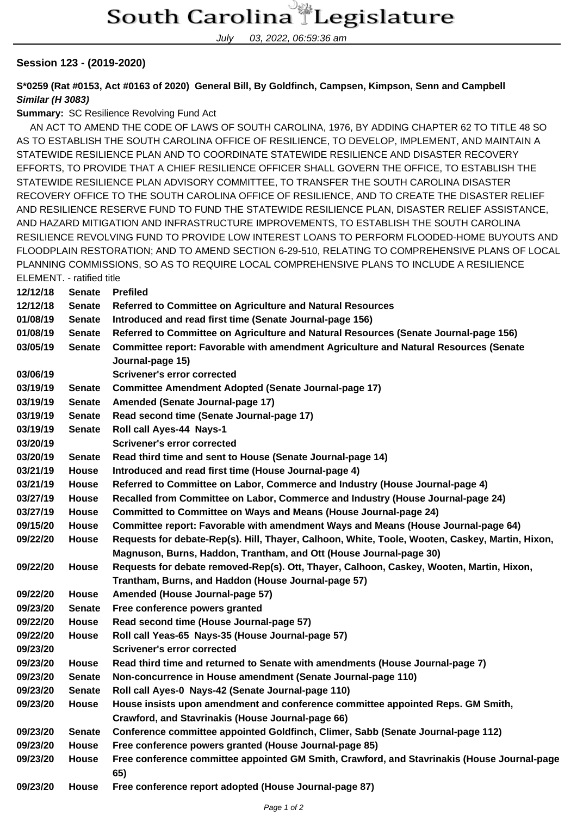July 03, 2022, 06:59:36 am

## **Session 123 - (2019-2020)**

**S\*0259 (Rat #0153, Act #0163 of 2020) General Bill, By Goldfinch, Campsen, Kimpson, Senn and Campbell Similar (H 3083)**

**Summary:** SC Resilience Revolving Fund Act

 AN ACT TO AMEND THE CODE OF LAWS OF SOUTH CAROLINA, 1976, BY ADDING CHAPTER 62 TO TITLE 48 SO AS TO ESTABLISH THE SOUTH CAROLINA OFFICE OF RESILIENCE, TO DEVELOP, IMPLEMENT, AND MAINTAIN A STATEWIDE RESILIENCE PLAN AND TO COORDINATE STATEWIDE RESILIENCE AND DISASTER RECOVERY EFFORTS, TO PROVIDE THAT A CHIEF RESILIENCE OFFICER SHALL GOVERN THE OFFICE, TO ESTABLISH THE STATEWIDE RESILIENCE PLAN ADVISORY COMMITTEE, TO TRANSFER THE SOUTH CAROLINA DISASTER RECOVERY OFFICE TO THE SOUTH CAROLINA OFFICE OF RESILIENCE, AND TO CREATE THE DISASTER RELIEF AND RESILIENCE RESERVE FUND TO FUND THE STATEWIDE RESILIENCE PLAN, DISASTER RELIEF ASSISTANCE, AND HAZARD MITIGATION AND INFRASTRUCTURE IMPROVEMENTS, TO ESTABLISH THE SOUTH CAROLINA RESILIENCE REVOLVING FUND TO PROVIDE LOW INTEREST LOANS TO PERFORM FLOODED-HOME BUYOUTS AND FLOODPLAIN RESTORATION; AND TO AMEND SECTION 6-29-510, RELATING TO COMPREHENSIVE PLANS OF LOCAL PLANNING COMMISSIONS, SO AS TO REQUIRE LOCAL COMPREHENSIVE PLANS TO INCLUDE A RESILIENCE ELEMENT. - ratified title

| 12/12/18 | <b>Senate</b> | <b>Prefiled</b>                                                                                 |
|----------|---------------|-------------------------------------------------------------------------------------------------|
| 12/12/18 | Senate        | Referred to Committee on Agriculture and Natural Resources                                      |
| 01/08/19 | <b>Senate</b> | Introduced and read first time (Senate Journal-page 156)                                        |
| 01/08/19 | <b>Senate</b> | Referred to Committee on Agriculture and Natural Resources (Senate Journal-page 156)            |
| 03/05/19 | <b>Senate</b> | Committee report: Favorable with amendment Agriculture and Natural Resources (Senate            |
|          |               | Journal-page 15)                                                                                |
| 03/06/19 |               | <b>Scrivener's error corrected</b>                                                              |
| 03/19/19 | Senate        | <b>Committee Amendment Adopted (Senate Journal-page 17)</b>                                     |
| 03/19/19 | Senate        | Amended (Senate Journal-page 17)                                                                |
| 03/19/19 | <b>Senate</b> | Read second time (Senate Journal-page 17)                                                       |
| 03/19/19 | <b>Senate</b> | Roll call Ayes-44 Nays-1                                                                        |
| 03/20/19 |               | <b>Scrivener's error corrected</b>                                                              |
| 03/20/19 | Senate        | Read third time and sent to House (Senate Journal-page 14)                                      |
| 03/21/19 | House         | Introduced and read first time (House Journal-page 4)                                           |
| 03/21/19 | <b>House</b>  | Referred to Committee on Labor, Commerce and Industry (House Journal-page 4)                    |
| 03/27/19 | <b>House</b>  | Recalled from Committee on Labor, Commerce and Industry (House Journal-page 24)                 |
| 03/27/19 | House         | <b>Committed to Committee on Ways and Means (House Journal-page 24)</b>                         |
| 09/15/20 | House         | Committee report: Favorable with amendment Ways and Means (House Journal-page 64)               |
| 09/22/20 | House         | Requests for debate-Rep(s). Hill, Thayer, Calhoon, White, Toole, Wooten, Caskey, Martin, Hixon, |
|          |               | Magnuson, Burns, Haddon, Trantham, and Ott (House Journal-page 30)                              |
| 09/22/20 | House         | Requests for debate removed-Rep(s). Ott, Thayer, Calhoon, Caskey, Wooten, Martin, Hixon,        |
|          |               | Trantham, Burns, and Haddon (House Journal-page 57)                                             |
| 09/22/20 | House         | Amended (House Journal-page 57)                                                                 |
| 09/23/20 | Senate        | Free conference powers granted                                                                  |
| 09/22/20 | <b>House</b>  | Read second time (House Journal-page 57)                                                        |
| 09/22/20 | House         | Roll call Yeas-65 Nays-35 (House Journal-page 57)                                               |
| 09/23/20 |               | <b>Scrivener's error corrected</b>                                                              |
| 09/23/20 | House         | Read third time and returned to Senate with amendments (House Journal-page 7)                   |
| 09/23/20 | Senate        | Non-concurrence in House amendment (Senate Journal-page 110)                                    |
| 09/23/20 | Senate        | Roll call Ayes-0 Nays-42 (Senate Journal-page 110)                                              |
| 09/23/20 | House         | House insists upon amendment and conference committee appointed Reps. GM Smith,                 |
|          |               | Crawford, and Stavrinakis (House Journal-page 66)                                               |
| 09/23/20 | Senate        | Conference committee appointed Goldfinch, Climer, Sabb (Senate Journal-page 112)                |
| 09/23/20 | House         | Free conference powers granted (House Journal-page 85)                                          |
| 09/23/20 | House         | Free conference committee appointed GM Smith, Crawford, and Stavrinakis (House Journal-page     |
|          |               | 65)                                                                                             |
| 09/23/20 | <b>House</b>  | Free conference report adopted (House Journal-page 87)                                          |